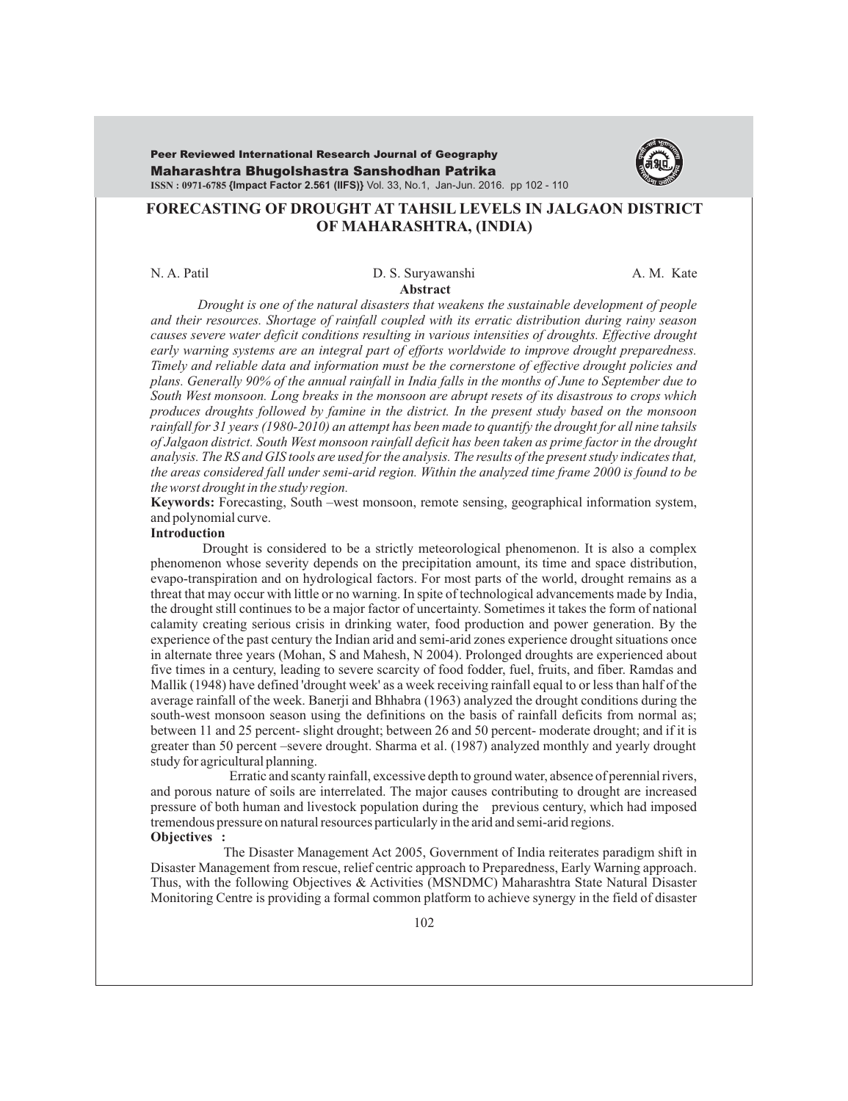Maharashtra Bhugolshastra Sanshodhan Patrika **ISSN : 0971-6785 {Impact Factor 2.561 (IIFS)}** Vol. 33, No.1, Jan-Jun. 2016. pp 102 - 110 Peer Reviewed International Research Journal of Geography



## **FORECASTING OF DROUGHT AT TAHSIL LEVELS IN JALGAON DISTRICT OF MAHARASHTRA, (INDIA)**

#### **Abstract** N. A. Patil D. S. Suryawanshi A. M. Kate

*Drought is one of the natural disasters that weakens the sustainable development of people and their resources. Shortage of rainfall coupled with its erratic distribution during rainy season causes severe water deficit conditions resulting in various intensities of droughts. Effective drought early warning systems are an integral part of efforts worldwide to improve drought preparedness. Timely and reliable data and information must be the cornerstone of effective drought policies and plans. Generally 90% of the annual rainfall in India falls in the months of June to September due to South West monsoon. Long breaks in the monsoon are abrupt resets of its disastrous to crops which produces droughts followed by famine in the district. In the present study based on the monsoon rainfall for 31 years (1980-2010) an attempt has been made to quantify the drought for all nine tahsils of Jalgaon district. South West monsoon rainfall deficit has been taken as prime factor in the drought analysis. The RS and GIS tools are used for the analysis. The results of the present study indicates that, the areas considered fall under semi-arid region. Within the analyzed time frame 2000 is found to be the worst drought in the study region.* 

**Keywords:** Forecasting, South –west monsoon, remote sensing, geographical information system, and polynomial curve.

### **Introduction**

Drought is considered to be a strictly meteorological phenomenon. It is also a complex phenomenon whose severity depends on the precipitation amount, its time and space distribution, evapo-transpiration and on hydrological factors. For most parts of the world, drought remains as a threat that may occur with little or no warning. In spite of technological advancements made by India, the drought still continues to be a major factor of uncertainty. Sometimes it takes the form of national calamity creating serious crisis in drinking water, food production and power generation. By the experience of the past century the Indian arid and semi-arid zones experience drought situations once in alternate three years (Mohan, S and Mahesh, N 2004). Prolonged droughts are experienced about five times in a century, leading to severe scarcity of food fodder, fuel, fruits, and fiber. Ramdas and Mallik (1948) have defined 'drought week' as a week receiving rainfall equal to or less than half of the average rainfall of the week. Banerji and Bhhabra (1963) analyzed the drought conditions during the south-west monsoon season using the definitions on the basis of rainfall deficits from normal as; between 11 and 25 percent- slight drought; between 26 and 50 percent- moderate drought; and if it is greater than 50 percent –severe drought. Sharma et al. (1987) analyzed monthly and yearly drought study for agricultural planning.

 Erratic and scanty rainfall, excessive depth to ground water, absence of perennial rivers, and porous nature of soils are interrelated. The major causes contributing to drought are increased pressure of both human and livestock population during the previous century, which had imposed tremendous pressure on natural resources particularly in the arid and semi-arid regions. **Objectives :** 

The Disaster Management Act 2005, Government of India reiterates paradigm shift in Disaster Management from rescue, relief centric approach to Preparedness, Early Warning approach. Thus, with the following Objectives & Activities (MSNDMC) Maharashtra State Natural Disaster Monitoring Centre is providing a formal common platform to achieve synergy in the field of disaster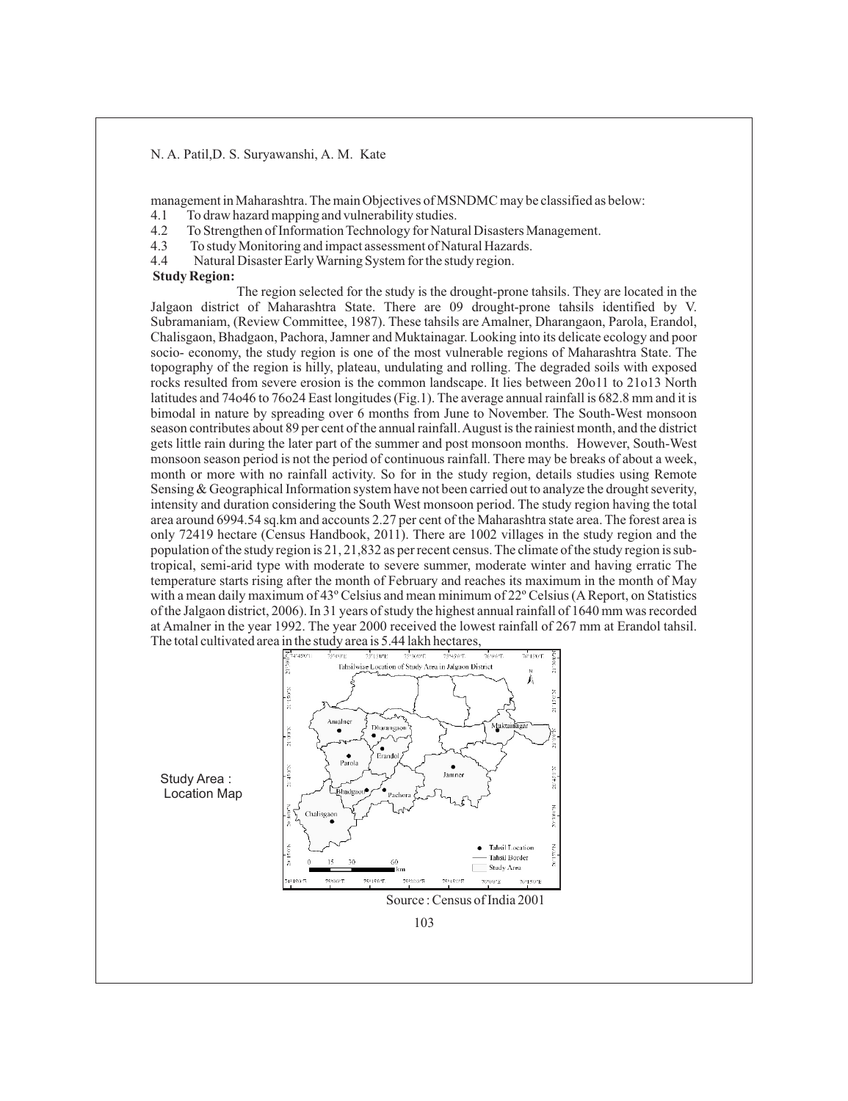management in Maharashtra. The main Objectives of MSNDMC may be classified as below:

- 4.1 To draw hazard mapping and vulnerability studies.
- 4.2 To Strengthen of Information Technology for Natural Disasters Management.
- 4.3 To study Monitoring and impact assessment of Natural Hazards.
- 4.4 Natural Disaster Early Warning System for the study region.

#### **Study Region:**

The region selected for the study is the drought-prone tahsils. They are located in the Jalgaon district of Maharashtra State. There are 09 drought-prone tahsils identified by V. Subramaniam, (Review Committee, 1987). These tahsils are Amalner, Dharangaon, Parola, Erandol, Chalisgaon, Bhadgaon, Pachora, Jamner and Muktainagar. Looking into its delicate ecology and poor socio- economy, the study region is one of the most vulnerable regions of Maharashtra State. The topography of the region is hilly, plateau, undulating and rolling. The degraded soils with exposed rocks resulted from severe erosion is the common landscape. It lies between 20o11 to 21o13 North latitudes and 74o46 to 76o24 East longitudes (Fig.1). The average annual rainfall is 682.8 mm and it is bimodal in nature by spreading over 6 months from June to November. The South-West monsoon season contributes about 89 per cent of the annual rainfall. August is the rainiest month, and the district gets little rain during the later part of the summer and post monsoon months. However, South-West monsoon season period is not the period of continuous rainfall. There may be breaks of about a week, month or more with no rainfall activity. So for in the study region, details studies using Remote Sensing & Geographical Information system have not been carried out to analyze the drought severity, intensity and duration considering the South West monsoon period. The study region having the total area around 6994.54 sq.km and accounts 2.27 per cent of the Maharashtra state area. The forest area is only 72419 hectare (Census Handbook, 2011). There are 1002 villages in the study region and the population of the study region is 21, 21,832 as per recent census. The climate of the study region is subtropical, semi-arid type with moderate to severe summer, moderate winter and having erratic The temperature starts rising after the month of February and reaches its maximum in the month of May with a mean daily maximum of 43° Celsius and mean minimum of 22° Celsius (A Report, on Statistics of the Jalgaon district, 2006). In 31 years of study the highest annual rainfall of 1640 mm was recorded at Amalner in the year 1992. The year 2000 received the lowest rainfall of 267 mm at Erandol tahsil. The total cultivated area in the study area is 5.44 lakh hectares,



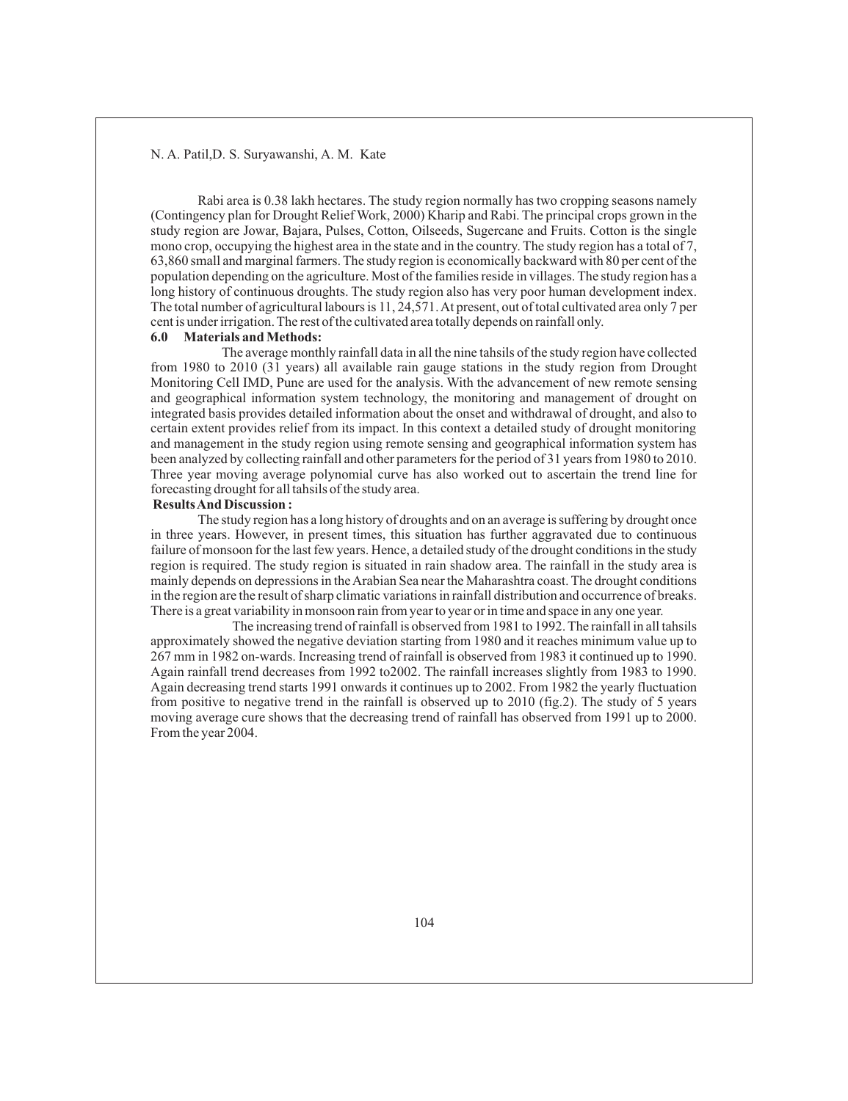Rabi area is 0.38 lakh hectares. The study region normally has two cropping seasons namely (Contingency plan for Drought Relief Work, 2000) Kharip and Rabi. The principal crops grown in the study region are Jowar, Bajara, Pulses, Cotton, Oilseeds, Sugercane and Fruits. Cotton is the single mono crop, occupying the highest area in the state and in the country. The study region has a total of 7, 63,860 small and marginal farmers. The study region is economically backward with 80 per cent of the population depending on the agriculture. Most of the families reside in villages. The study region has a long history of continuous droughts. The study region also has very poor human development index. The total number of agricultural labours is 11, 24,571. At present, out of total cultivated area only 7 per cent is under irrigation. The rest of the cultivated area totally depends on rainfall only.

#### **6.0 Materials and Methods:**

The average monthly rainfall data in all the nine tahsils of the study region have collected from 1980 to 2010 (31 years) all available rain gauge stations in the study region from Drought Monitoring Cell IMD, Pune are used for the analysis. With the advancement of new remote sensing and geographical information system technology, the monitoring and management of drought on integrated basis provides detailed information about the onset and withdrawal of drought, and also to certain extent provides relief from its impact. In this context a detailed study of drought monitoring and management in the study region using remote sensing and geographical information system has been analyzed by collecting rainfall and other parameters for the period of 31 years from 1980 to 2010. Three year moving average polynomial curve has also worked out to ascertain the trend line for forecasting drought for all tahsils of the study area.

#### **Results And Discussion :**

The study region has a long history of droughts and on an average is suffering by drought once in three years. However, in present times, this situation has further aggravated due to continuous failure of monsoon for the last few years. Hence, a detailed study of the drought conditions in the study region is required. The study region is situated in rain shadow area. The rainfall in the study area is mainly depends on depressions in the Arabian Sea near the Maharashtra coast. The drought conditions in the region are the result of sharp climatic variations in rainfall distribution and occurrence of breaks. There is a great variability in monsoon rain from year to year or in time and space in any one year.

The increasing trend of rainfall is observed from 1981 to 1992. The rainfall in all tahsils approximately showed the negative deviation starting from 1980 and it reaches minimum value up to 267 mm in 1982 on-wards. Increasing trend of rainfall is observed from 1983 it continued up to 1990. Again rainfall trend decreases from 1992 to2002. The rainfall increases slightly from 1983 to 1990. Again decreasing trend starts 1991 onwards it continues up to 2002. From 1982 the yearly fluctuation from positive to negative trend in the rainfall is observed up to 2010 (fig.2). The study of 5 years moving average cure shows that the decreasing trend of rainfall has observed from 1991 up to 2000. From the year 2004.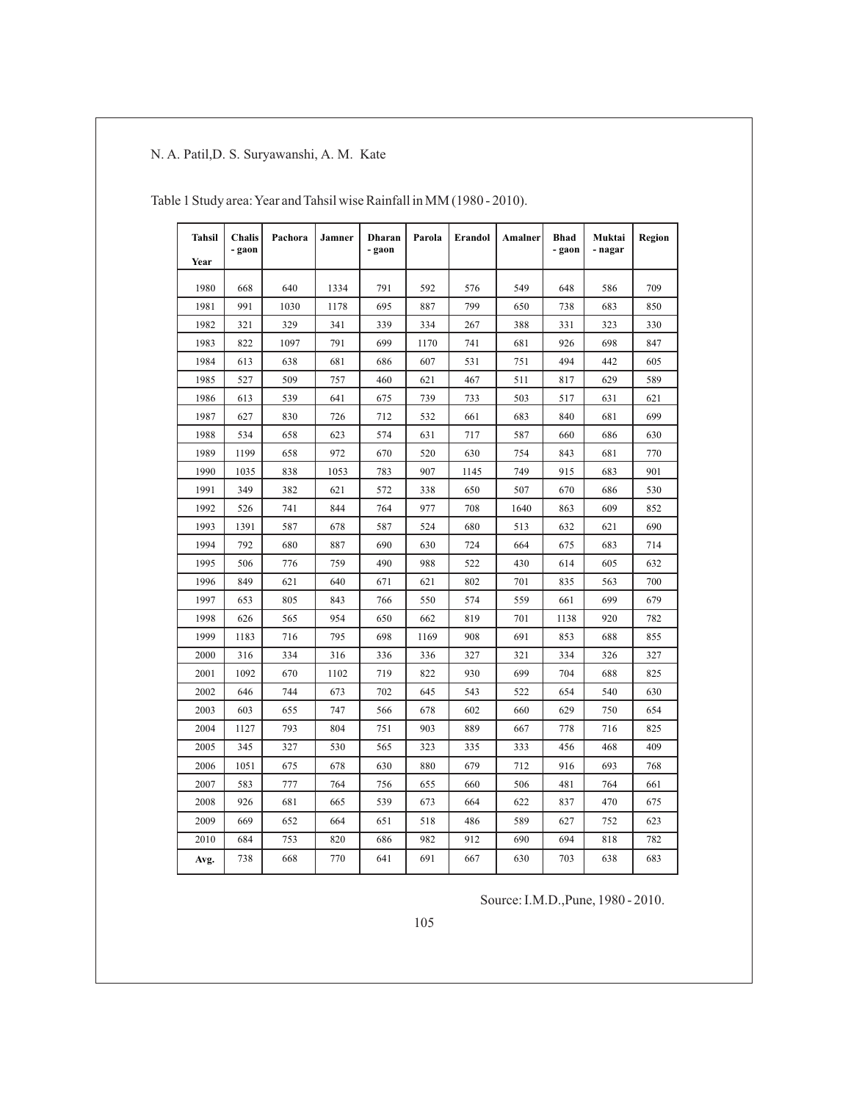| <b>Tahsil</b> | <b>Chalis</b><br>- gaon | Pachora | Jamner | <b>Dharan</b><br>- gaon | Parola | Erandol | Amalner | <b>Bhad</b><br>- gaon | Muktai<br>- nagar | Region |
|---------------|-------------------------|---------|--------|-------------------------|--------|---------|---------|-----------------------|-------------------|--------|
| Year          |                         |         |        |                         |        |         |         |                       |                   |        |
| 1980          | 668                     | 640     | 1334   | 791                     | 592    | 576     | 549     | 648                   | 586               | 709    |
| 1981          | 991                     | 1030    | 1178   | 695                     | 887    | 799     | 650     | 738                   | 683               | 850    |
| 1982          | 321                     | 329     | 341    | 339                     | 334    | 267     | 388     | 331                   | 323               | 330    |
| 1983          | 822                     | 1097    | 791    | 699                     | 1170   | 741     | 681     | 926                   | 698               | 847    |
| 1984          | 613                     | 638     | 681    | 686                     | 607    | 531     | 751     | 494                   | 442               | 605    |
| 1985          | 527                     | 509     | 757    | 460                     | 621    | 467     | 511     | 817                   | 629               | 589    |
| 1986          | 613                     | 539     | 641    | 675                     | 739    | 733     | 503     | 517                   | 631               | 621    |
| 1987          | 627                     | 830     | 726    | 712                     | 532    | 661     | 683     | 840                   | 681               | 699    |
| 1988          | 534                     | 658     | 623    | 574                     | 631    | 717     | 587     | 660                   | 686               | 630    |
| 1989          | 1199                    | 658     | 972    | 670                     | 520    | 630     | 754     | 843                   | 681               | 770    |
| 1990          | 1035                    | 838     | 1053   | 783                     | 907    | 1145    | 749     | 915                   | 683               | 901    |
| 1991          | 349                     | 382     | 621    | 572                     | 338    | 650     | 507     | 670                   | 686               | 530    |
| 1992          | 526                     | 741     | 844    | 764                     | 977    | 708     | 1640    | 863                   | 609               | 852    |
| 1993          | 1391                    | 587     | 678    | 587                     | 524    | 680     | 513     | 632                   | 621               | 690    |
| 1994          | 792                     | 680     | 887    | 690                     | 630    | 724     | 664     | 675                   | 683               | 714    |
| 1995          | 506                     | 776     | 759    | 490                     | 988    | 522     | 430     | 614                   | 605               | 632    |
| 1996          | 849                     | 621     | 640    | 671                     | 621    | 802     | 701     | 835                   | 563               | 700    |
| 1997          | 653                     | 805     | 843    | 766                     | 550    | 574     | 559     | 661                   | 699               | 679    |
| 1998          | 626                     | 565     | 954    | 650                     | 662    | 819     | 701     | 1138                  | 920               | 782    |
| 1999          | 1183                    | 716     | 795    | 698                     | 1169   | 908     | 691     | 853                   | 688               | 855    |
| 2000          | 316                     | 334     | 316    | 336                     | 336    | 327     | 321     | 334                   | 326               | 327    |
| 2001          | 1092                    | 670     | 1102   | 719                     | 822    | 930     | 699     | 704                   | 688               | 825    |
| 2002          | 646                     | 744     | 673    | 702                     | 645    | 543     | 522     | 654                   | 540               | 630    |
| 2003          | 603                     | 655     | 747    | 566                     | 678    | 602     | 660     | 629                   | 750               | 654    |
| 2004          | 1127                    | 793     | 804    | 751                     | 903    | 889     | 667     | 778                   | 716               | 825    |
| 2005          | 345                     | 327     | 530    | 565                     | 323    | 335     | 333     | 456                   | 468               | 409    |
| 2006          | 1051                    | 675     | 678    | 630                     | 880    | 679     | 712     | 916                   | 693               | 768    |
| 2007          | 583                     | 777     | 764    | 756                     | 655    | 660     | 506     | 481                   | 764               | 661    |
| 2008          | 926                     | 681     | 665    | 539                     | 673    | 664     | 622     | 837                   | 470               | 675    |
| 2009          | 669                     | 652     | 664    | 651                     | 518    | 486     | 589     | 627                   | 752               | 623    |
| 2010          | 684                     | 753     | 820    | 686                     | 982    | 912     | 690     | 694                   | 818               | 782    |
| Avg.          | 738                     | 668     | 770    | 641                     | 691    | 667     | 630     | 703                   | 638               | 683    |

Table 1 Study area: Year and Tahsil wise Rainfall in MM (1980 - 2010).

Source: I.M.D.,Pune, 1980 - 2010.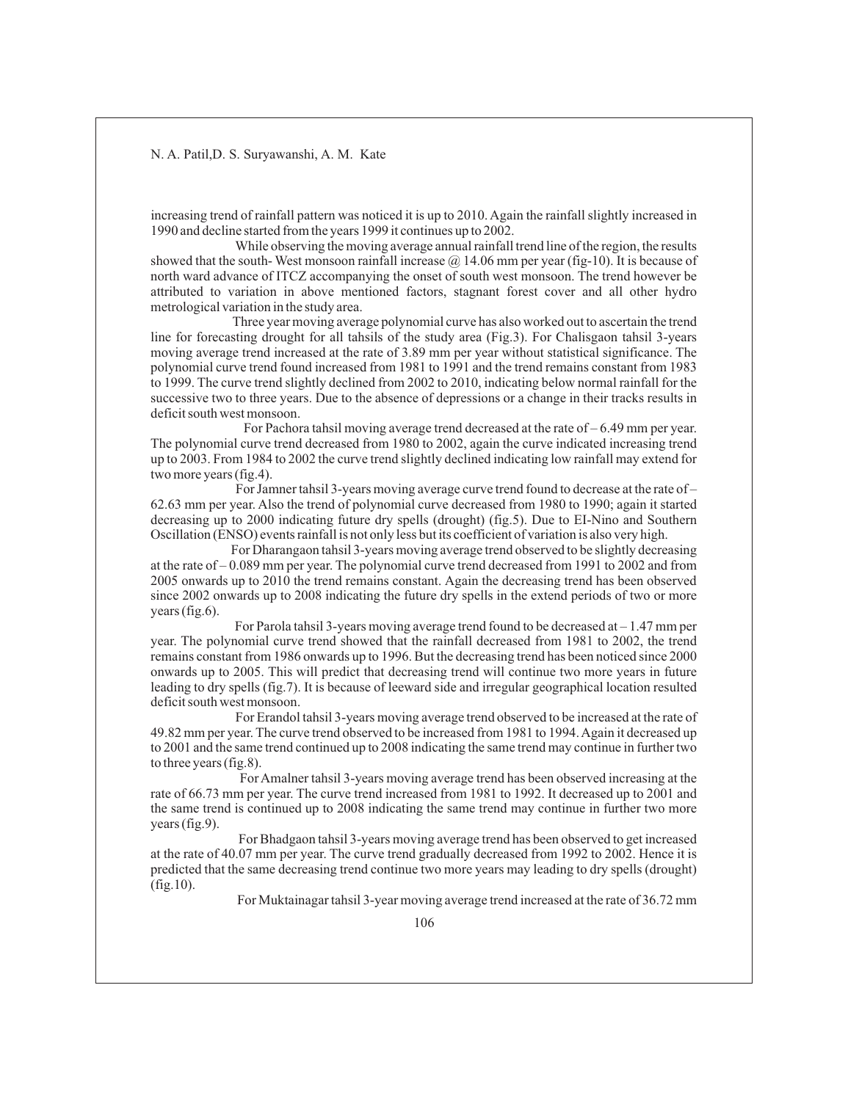increasing trend of rainfall pattern was noticed it is up to 2010. Again the rainfall slightly increased in 1990 and decline started from the years 1999 it continues up to 2002.

While observing the moving average annual rainfall trend line of the region, the results showed that the south- West monsoon rainfall increase  $\omega$  14.06 mm per year (fig-10). It is because of north ward advance of ITCZ accompanying the onset of south west monsoon. The trend however be attributed to variation in above mentioned factors, stagnant forest cover and all other hydro metrological variation in the study area.

 Three year moving average polynomial curve has also worked out to ascertain the trend line for forecasting drought for all tahsils of the study area (Fig.3). For Chalisgaon tahsil 3-years moving average trend increased at the rate of 3.89 mm per year without statistical significance. The polynomial curve trend found increased from 1981 to 1991 and the trend remains constant from 1983 to 1999. The curve trend slightly declined from 2002 to 2010, indicating below normal rainfall for the successive two to three years. Due to the absence of depressions or a change in their tracks results in deficit south west monsoon.

For Pachora tahsil moving average trend decreased at the rate of – 6.49 mm per year. The polynomial curve trend decreased from 1980 to 2002, again the curve indicated increasing trend up to 2003. From 1984 to 2002 the curve trend slightly declined indicating low rainfall may extend for two more years (fig.4).

For Jamner tahsil 3-years moving average curve trend found to decrease at the rate of – 62.63 mm per year. Also the trend of polynomial curve decreased from 1980 to 1990; again it started decreasing up to 2000 indicating future dry spells (drought) (fig.5). Due to EI-Nino and Southern Oscillation (ENSO) events rainfall is not only less but its coefficient of variation is also very high.

For Dharangaon tahsil 3-years moving average trend observed to be slightly decreasing at the rate of – 0.089 mm per year. The polynomial curve trend decreased from 1991 to 2002 and from 2005 onwards up to 2010 the trend remains constant. Again the decreasing trend has been observed since 2002 onwards up to 2008 indicating the future dry spells in the extend periods of two or more years (fig.6).

For Parola tahsil 3-years moving average trend found to be decreased at – 1.47 mm per year. The polynomial curve trend showed that the rainfall decreased from 1981 to 2002, the trend remains constant from 1986 onwards up to 1996. But the decreasing trend has been noticed since 2000 onwards up to 2005. This will predict that decreasing trend will continue two more years in future leading to dry spells (fig.7). It is because of leeward side and irregular geographical location resulted deficit south west monsoon.

For Erandol tahsil 3-years moving average trend observed to be increased at the rate of 49.82 mm per year. The curve trend observed to be increased from 1981 to 1994. Again it decreased up to 2001 and the same trend continued up to 2008 indicating the same trend may continue in further two to three years (fig.8).

For Amalner tahsil 3-years moving average trend has been observed increasing at the rate of 66.73 mm per year. The curve trend increased from 1981 to 1992. It decreased up to 2001 and the same trend is continued up to 2008 indicating the same trend may continue in further two more years (fig.9).

For Bhadgaon tahsil 3-years moving average trend has been observed to get increased at the rate of 40.07 mm per year. The curve trend gradually decreased from 1992 to 2002. Hence it is predicted that the same decreasing trend continue two more years may leading to dry spells (drought) (fig.10).

For Muktainagar tahsil 3-year moving average trend increased at the rate of 36.72 mm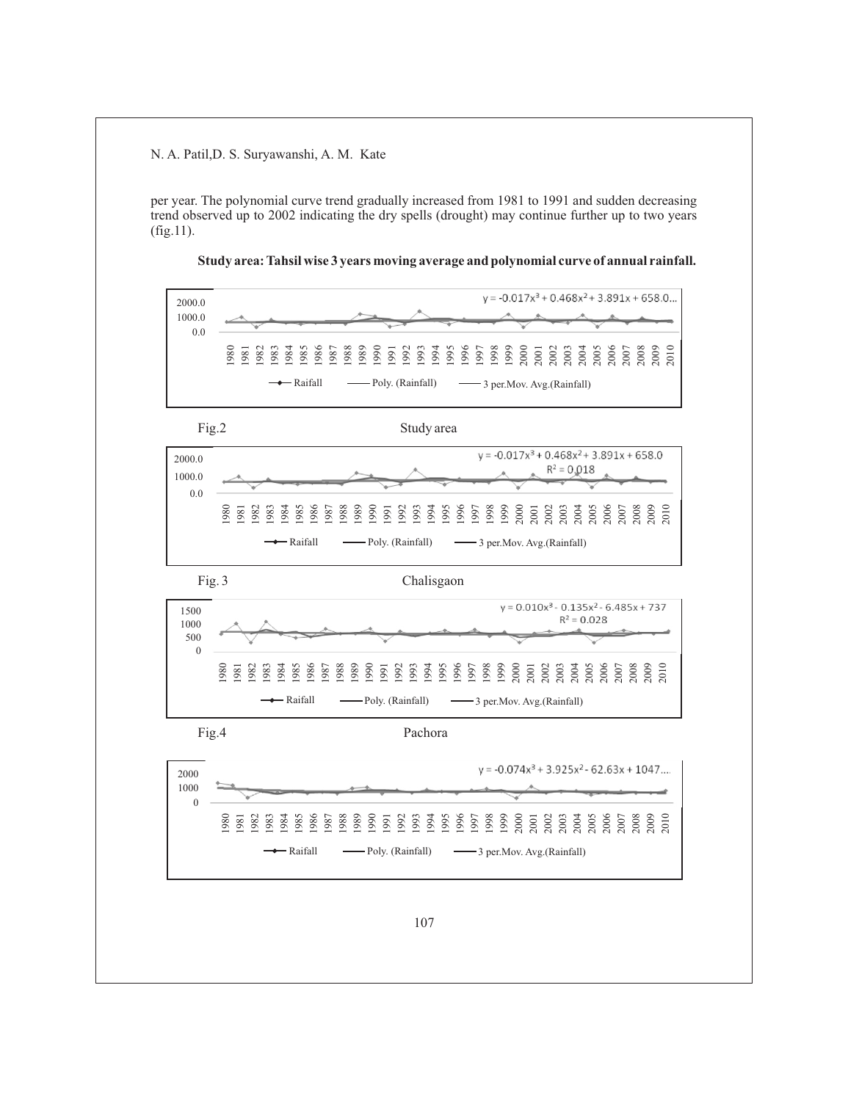per year. The polynomial curve trend gradually increased from 1981 to 1991 and sudden decreasing trend observed up to 2002 indicating the dry spells (drought) may continue further up to two years (fig.11).



**Study area: Tahsil wise 3 years moving average and polynomial curve of annual rainfall.**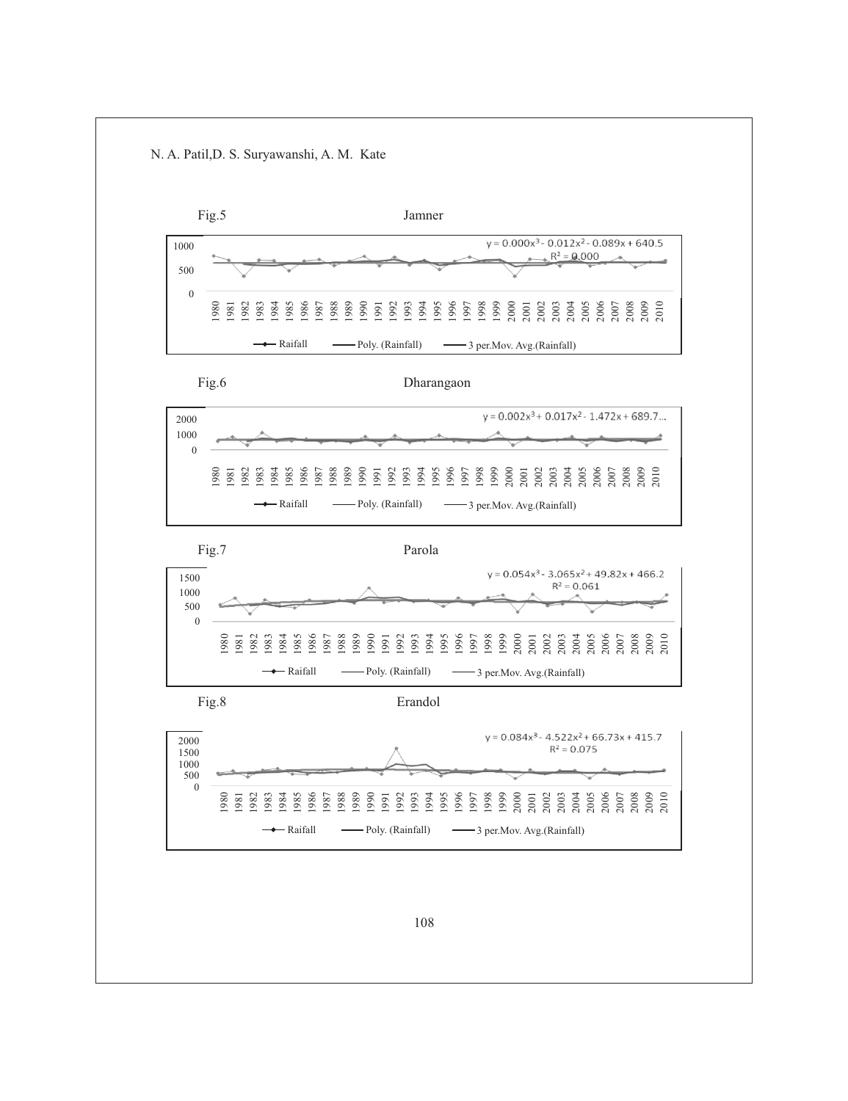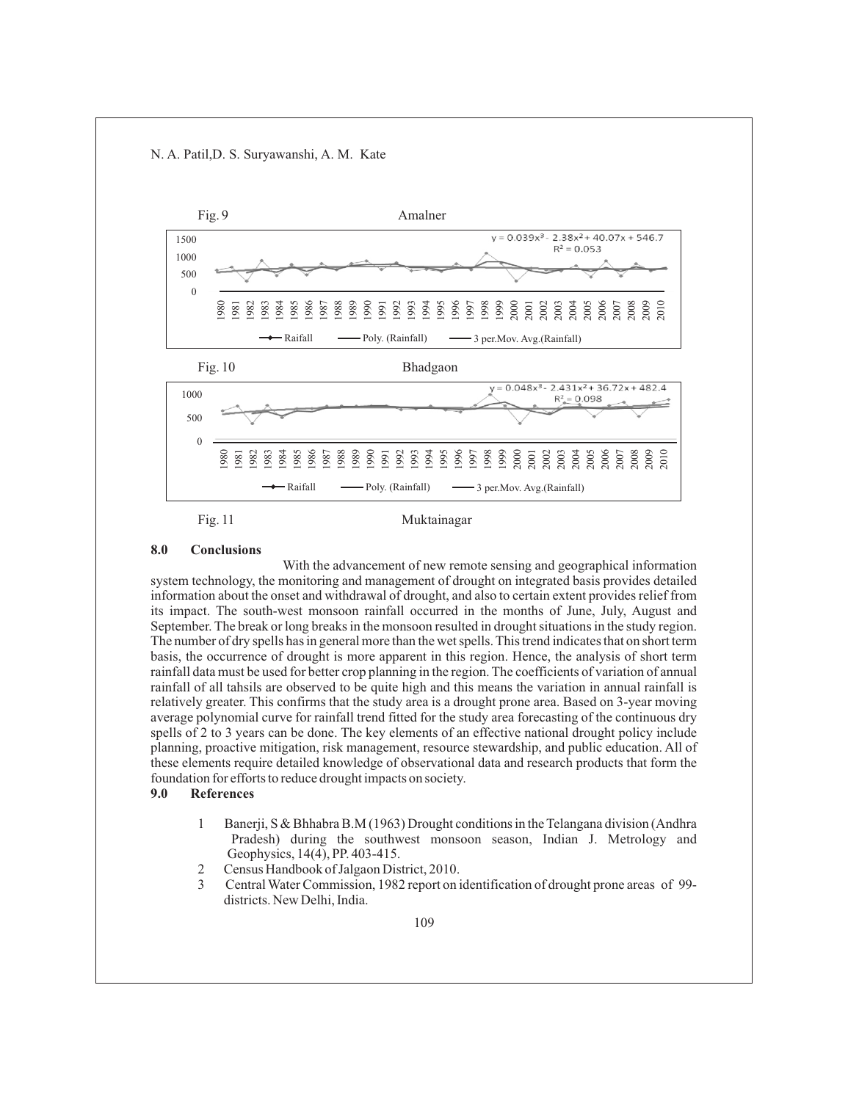

#### **8.0 Conclusions**

With the advancement of new remote sensing and geographical information system technology, the monitoring and management of drought on integrated basis provides detailed information about the onset and withdrawal of drought, and also to certain extent provides relief from its impact. The south-west monsoon rainfall occurred in the months of June, July, August and September. The break or long breaks in the monsoon resulted in drought situations in the study region. The number of dry spells has in general more than the wet spells. This trend indicates that on short term basis, the occurrence of drought is more apparent in this region. Hence, the analysis of short term rainfall data must be used for better crop planning in the region. The coefficients of variation of annual rainfall of all tahsils are observed to be quite high and this means the variation in annual rainfall is relatively greater. This confirms that the study area is a drought prone area. Based on 3-year moving average polynomial curve for rainfall trend fitted for the study area forecasting of the continuous dry spells of 2 to 3 years can be done. The key elements of an effective national drought policy include planning, proactive mitigation, risk management, resource stewardship, and public education. All of these elements require detailed knowledge of observational data and research products that form the foundation for efforts to reduce drought impacts on society.

#### **9.0 References**

- 1 Banerji, S & Bhhabra B.M (1963) Drought conditions in the Telangana division (Andhra Pradesh) during the southwest monsoon season, Indian J. Metrology and Geophysics, 14(4), PP. 403-415.<br>2 Census Handbook of Jalgaon Dis
- 2 Census Handbook of Jalgaon District, 2010.
- 3 Central Water Commission, 1982 report on identification of drought prone areas of 99-